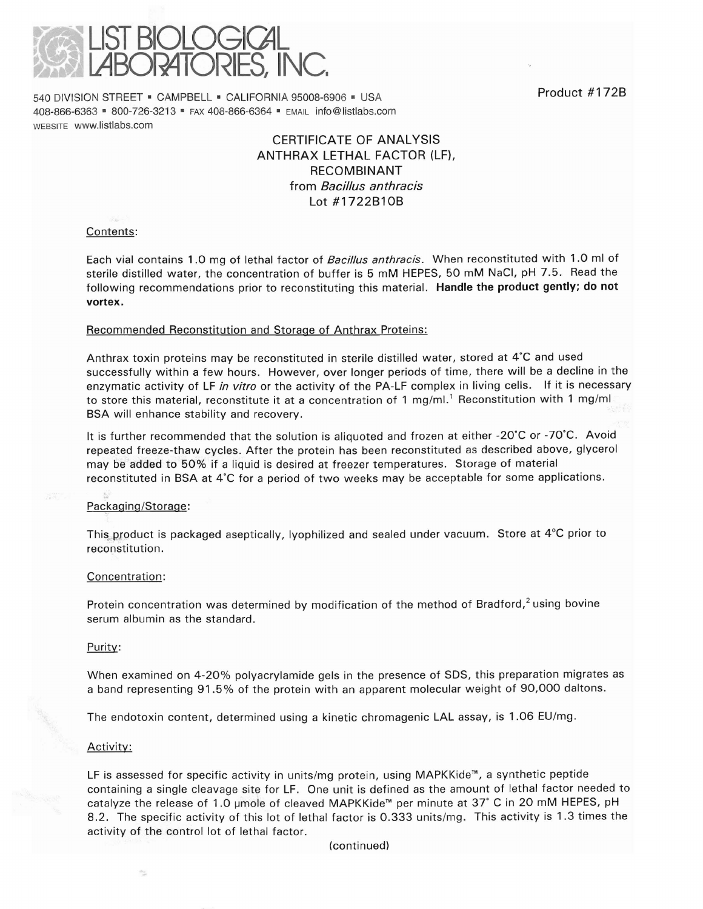

540 DIVISION STREET = CAMPBELL = CALIFORNIA 95008-6906 = USA **Froduct #172B** 408-866-6363 • 800-726-3213 • FAX 408-866-6364 • EMAIL info@listlabs.com WEBSITE www.listlabs.com

# CERTIFICATE OF ANALYSIS ANTHRAX LETHAL FACTOR (LF), RECOMBINANT from *Bacillus anthracis*  Lot #1722B10B

# Contents:

Each vial contains 1.0 mg of lethal factor of *Bacillus anthracis.* When reconstituted with 1.0 ml of sterile distilled water, the concentration of buffer is 5 mM HEPES, 50 mM NaCI, pH 7.5. Read the following recommendations prior to reconstituting this material. Handle the product gently; do not vortex.

### Recommended Reconstitution and Storage of Anthrax Proteins:

Anthrax toxin proteins may be reconstituted in sterile distilled water, stored at 4'C and used successfully within a few hours. However, over longer periods of time, there will be a decline in the enzymatic activity of LF *in vitro* or the activity of the PA-LF complex in living cells. If it is necessary to store this material, reconstitute it at a concentration of 1 mg/ml.' Reconstitution with 1 mg/ml BSA will enhance stability and recovery.

It is further recommended that the solution is aliquoted and frozen at either -20'C or -70'C. Avoid repeated freeze-thaw cycles. After the protein has been reconstituted as described above, glycerol may be added to 50% if a liquid is desired at freezer temperatures. Storage of material reconstituted in BSA at 4'C for a period of two weeks may be acceptable for some applications.

# Packaging/Storage:

This product is packaged aseptically, lyophilized and sealed under vacuum. Store at  $4^{\circ}$ C prior to reconstitution.

#### Concentration:

Protein concentration was determined by modification of the method of Bradford, $2$  using bovine serum albumin as the standard.

#### Purity:

When examined on 4-20% polyacrylamide gels in the presence of SDS, this preparation migrates as a band representing 91.5% of the protein with an apparent molecular weight of 90,000 daltons.

The endotoxin content, determined using a kinetic chromagenic LAL assay, is 1.06 EU/mg.

#### Activity:

LF is assessed for specific activity in units/mg protein, using MAPKKide™, a synthetic peptide containing a single cleavage site for LF. One unit is defined as the amount of lethal factor needed to catalyze the release of 1.0 µmole of cleaved MAPKKide™ per minute at 37° C in 20 mM HEPES, pH 8.2. The specific activity of this lot of lethal factor is 0.333 units/mg. This activity is 1.3 times the activity of the control lot of lethal factor.

(continued)